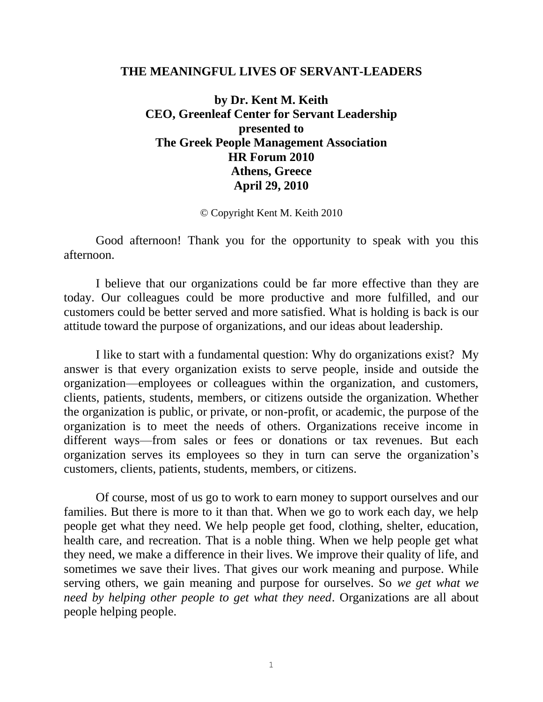#### **THE MEANINGFUL LIVES OF SERVANT-LEADERS**

**by Dr. Kent M. Keith CEO, Greenleaf Center for Servant Leadership presented to The Greek People Management Association HR Forum 2010 Athens, Greece April 29, 2010**

© Copyright Kent M. Keith 2010

Good afternoon! Thank you for the opportunity to speak with you this afternoon.

I believe that our organizations could be far more effective than they are today. Our colleagues could be more productive and more fulfilled, and our customers could be better served and more satisfied. What is holding is back is our attitude toward the purpose of organizations, and our ideas about leadership.

I like to start with a fundamental question: Why do organizations exist? My answer is that every organization exists to serve people, inside and outside the organization—employees or colleagues within the organization, and customers, clients, patients, students, members, or citizens outside the organization. Whether the organization is public, or private, or non-profit, or academic, the purpose of the organization is to meet the needs of others. Organizations receive income in different ways—from sales or fees or donations or tax revenues. But each organization serves its employees so they in turn can serve the organization's customers, clients, patients, students, members, or citizens.

Of course, most of us go to work to earn money to support ourselves and our families. But there is more to it than that. When we go to work each day, we help people get what they need. We help people get food, clothing, shelter, education, health care, and recreation. That is a noble thing. When we help people get what they need, we make a difference in their lives. We improve their quality of life, and sometimes we save their lives. That gives our work meaning and purpose. While serving others, we gain meaning and purpose for ourselves. So *we get what we need by helping other people to get what they need*. Organizations are all about people helping people.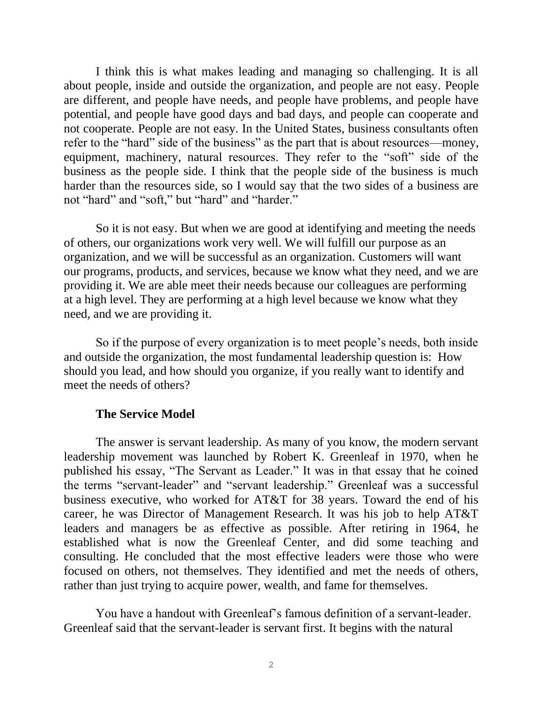I think this is what makes leading and managing so challenging. It is all about people, inside and outside the organization, and people are not easy. People are different, and people have needs, and people have problems, and people have potential, and people have good days and bad days, and people can cooperate and not cooperate. People are not easy. In the United States, business consultants often refer to the "hard" side of the business" as the part that is about resources—money, equipment, machinery, natural resources. They refer to the "soft" side of the business as the people side. I think that the people side of the business is much harder than the resources side, so I would say that the two sides of a business are not "hard" and "soft," but "hard" and "harder."

So it is not easy. But when we are good at identifying and meeting the needs of others, our organizations work very well. We will fulfill our purpose as an organization, and we will be successful as an organization. Customers will want our programs, products, and services, because we know what they need, and we are providing it. We are able meet their needs because our colleagues are performing at a high level. They are performing at a high level because we know what they need, and we are providing it.

So if the purpose of every organization is to meet people's needs, both inside and outside the organization, the most fundamental leadership question is: How should you lead, and how should you organize, if you really want to identify and meet the needs of others?

## **The Service Model**

The answer is servant leadership. As many of you know, the modern servant leadership movement was launched by Robert K. Greenleaf in 1970, when he published his essay, "The Servant as Leader." It was in that essay that he coined the terms "servant-leader" and "servant leadership." Greenleaf was a successful business executive, who worked for AT&T for 38 years. Toward the end of his career, he was Director of Management Research. It was his job to help AT&T leaders and managers be as effective as possible. After retiring in 1964, he established what is now the Greenleaf Center, and did some teaching and consulting. He concluded that the most effective leaders were those who were focused on others, not themselves. They identified and met the needs of others, rather than just trying to acquire power, wealth, and fame for themselves.

You have a handout with Greenleaf's famous definition of a servant-leader. Greenleaf said that the servant-leader is servant first. It begins with the natural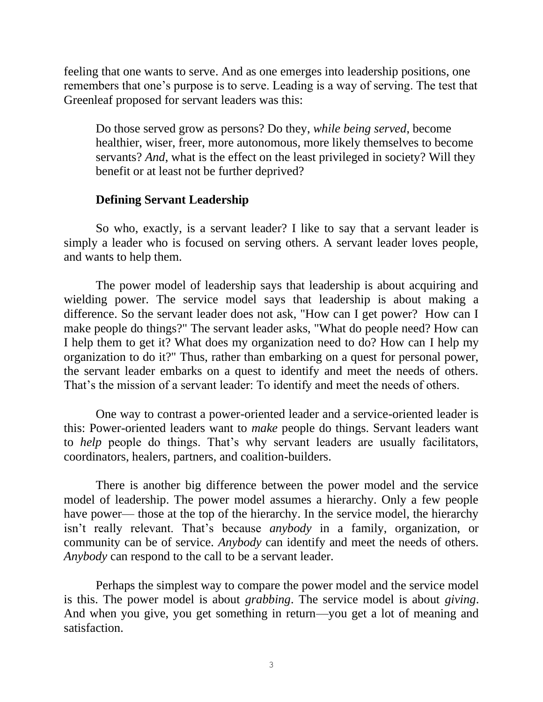feeling that one wants to serve. And as one emerges into leadership positions, one remembers that one's purpose is to serve. Leading is a way of serving. The test that Greenleaf proposed for servant leaders was this:

Do those served grow as persons? Do they, *while being served*, become healthier, wiser, freer, more autonomous, more likely themselves to become servants? *And*, what is the effect on the least privileged in society? Will they benefit or at least not be further deprived?

## **Defining Servant Leadership**

So who, exactly, is a servant leader? I like to say that a servant leader is simply a leader who is focused on serving others. A servant leader loves people, and wants to help them.

The power model of leadership says that leadership is about acquiring and wielding power. The service model says that leadership is about making a difference. So the servant leader does not ask, "How can I get power? How can I make people do things?" The servant leader asks, "What do people need? How can I help them to get it? What does my organization need to do? How can I help my organization to do it?" Thus, rather than embarking on a quest for personal power, the servant leader embarks on a quest to identify and meet the needs of others. That's the mission of a servant leader: To identify and meet the needs of others.

One way to contrast a power-oriented leader and a service-oriented leader is this: Power-oriented leaders want to *make* people do things. Servant leaders want to *help* people do things. That's why servant leaders are usually facilitators, coordinators, healers, partners, and coalition-builders.

There is another big difference between the power model and the service model of leadership. The power model assumes a hierarchy. Only a few people have power— those at the top of the hierarchy. In the service model, the hierarchy isn't really relevant. That's because *anybody* in a family, organization, or community can be of service. *Anybody* can identify and meet the needs of others. *Anybody* can respond to the call to be a servant leader.

Perhaps the simplest way to compare the power model and the service model is this. The power model is about *grabbing*. The service model is about *giving*. And when you give, you get something in return—you get a lot of meaning and satisfaction.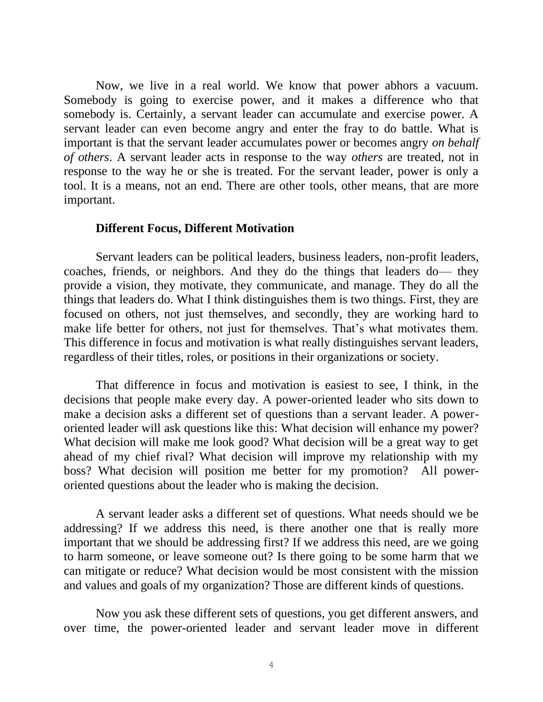Now, we live in a real world. We know that power abhors a vacuum. Somebody is going to exercise power, and it makes a difference who that somebody is. Certainly, a servant leader can accumulate and exercise power. A servant leader can even become angry and enter the fray to do battle. What is important is that the servant leader accumulates power or becomes angry *on behalf of others*. A servant leader acts in response to the way *others* are treated, not in response to the way he or she is treated. For the servant leader, power is only a tool. It is a means, not an end. There are other tools, other means, that are more important.

#### **Different Focus, Different Motivation**

Servant leaders can be political leaders, business leaders, non-profit leaders, coaches, friends, or neighbors. And they do the things that leaders do— they provide a vision, they motivate, they communicate, and manage. They do all the things that leaders do. What I think distinguishes them is two things. First, they are focused on others, not just themselves, and secondly, they are working hard to make life better for others, not just for themselves. That's what motivates them. This difference in focus and motivation is what really distinguishes servant leaders, regardless of their titles, roles, or positions in their organizations or society.

That difference in focus and motivation is easiest to see, I think, in the decisions that people make every day. A power-oriented leader who sits down to make a decision asks a different set of questions than a servant leader. A poweroriented leader will ask questions like this: What decision will enhance my power? What decision will make me look good? What decision will be a great way to get ahead of my chief rival? What decision will improve my relationship with my boss? What decision will position me better for my promotion? All poweroriented questions about the leader who is making the decision.

A servant leader asks a different set of questions. What needs should we be addressing? If we address this need, is there another one that is really more important that we should be addressing first? If we address this need, are we going to harm someone, or leave someone out? Is there going to be some harm that we can mitigate or reduce? What decision would be most consistent with the mission and values and goals of my organization? Those are different kinds of questions.

Now you ask these different sets of questions, you get different answers, and over time, the power-oriented leader and servant leader move in different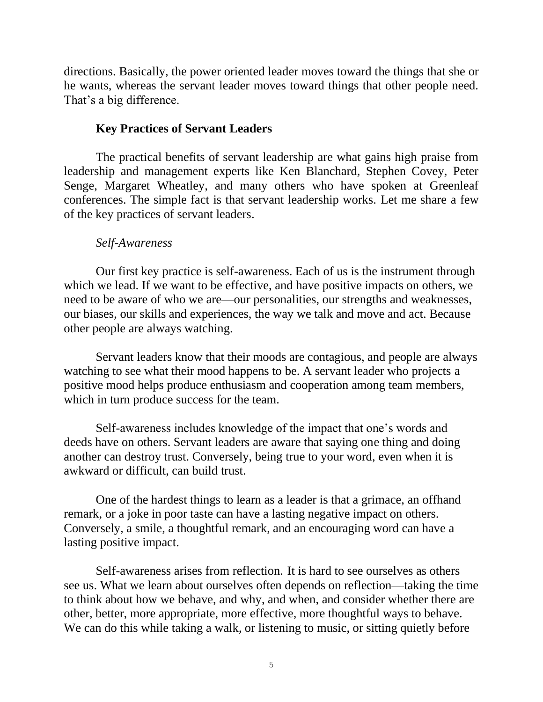directions. Basically, the power oriented leader moves toward the things that she or he wants, whereas the servant leader moves toward things that other people need. That's a big difference.

# **Key Practices of Servant Leaders**

The practical benefits of servant leadership are what gains high praise from leadership and management experts like Ken Blanchard, Stephen Covey, Peter Senge, Margaret Wheatley, and many others who have spoken at Greenleaf conferences. The simple fact is that servant leadership works. Let me share a few of the key practices of servant leaders.

# *Self-Awareness*

Our first key practice is self-awareness. Each of us is the instrument through which we lead. If we want to be effective, and have positive impacts on others, we need to be aware of who we are—our personalities, our strengths and weaknesses, our biases, our skills and experiences, the way we talk and move and act. Because other people are always watching.

Servant leaders know that their moods are contagious, and people are always watching to see what their mood happens to be. A servant leader who projects a positive mood helps produce enthusiasm and cooperation among team members, which in turn produce success for the team.

Self-awareness includes knowledge of the impact that one's words and deeds have on others. Servant leaders are aware that saying one thing and doing another can destroy trust. Conversely, being true to your word, even when it is awkward or difficult, can build trust.

One of the hardest things to learn as a leader is that a grimace, an offhand remark, or a joke in poor taste can have a lasting negative impact on others. Conversely, a smile, a thoughtful remark, and an encouraging word can have a lasting positive impact.

Self-awareness arises from reflection. It is hard to see ourselves as others see us. What we learn about ourselves often depends on reflection—taking the time to think about how we behave, and why, and when, and consider whether there are other, better, more appropriate, more effective, more thoughtful ways to behave. We can do this while taking a walk, or listening to music, or sitting quietly before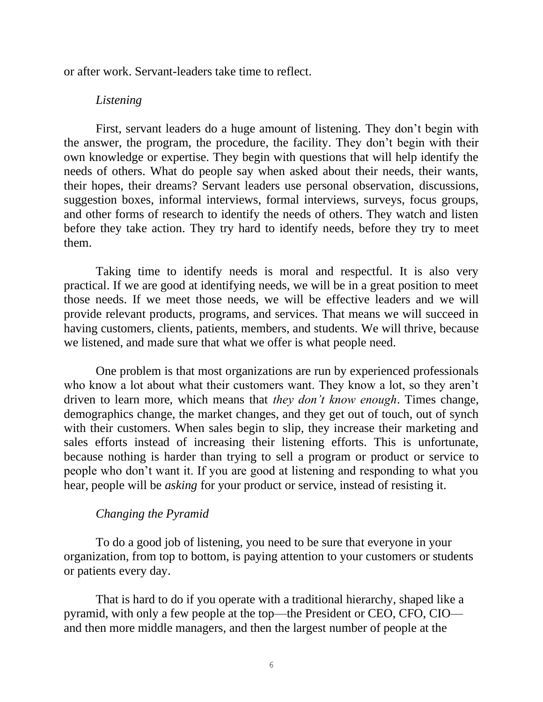or after work. Servant-leaders take time to reflect.

## *Listening*

First, servant leaders do a huge amount of listening. They don't begin with the answer, the program, the procedure, the facility. They don't begin with their own knowledge or expertise. They begin with questions that will help identify the needs of others. What do people say when asked about their needs, their wants, their hopes, their dreams? Servant leaders use personal observation, discussions, suggestion boxes, informal interviews, formal interviews, surveys, focus groups, and other forms of research to identify the needs of others. They watch and listen before they take action. They try hard to identify needs, before they try to meet them.

Taking time to identify needs is moral and respectful. It is also very practical. If we are good at identifying needs, we will be in a great position to meet those needs. If we meet those needs, we will be effective leaders and we will provide relevant products, programs, and services. That means we will succeed in having customers, clients, patients, members, and students. We will thrive, because we listened, and made sure that what we offer is what people need.

One problem is that most organizations are run by experienced professionals who know a lot about what their customers want. They know a lot, so they aren't driven to learn more, which means that *they don't know enough*. Times change, demographics change, the market changes, and they get out of touch, out of synch with their customers. When sales begin to slip, they increase their marketing and sales efforts instead of increasing their listening efforts. This is unfortunate, because nothing is harder than trying to sell a program or product or service to people who don't want it. If you are good at listening and responding to what you hear, people will be *asking* for your product or service, instead of resisting it.

# *Changing the Pyramid*

To do a good job of listening, you need to be sure that everyone in your organization, from top to bottom, is paying attention to your customers or students or patients every day.

That is hard to do if you operate with a traditional hierarchy, shaped like a pyramid, with only a few people at the top—the President or CEO, CFO, CIO and then more middle managers, and then the largest number of people at the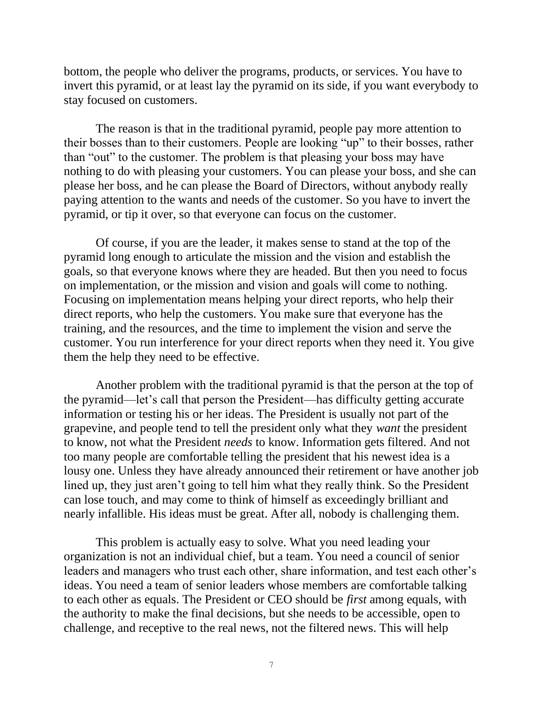bottom, the people who deliver the programs, products, or services. You have to invert this pyramid, or at least lay the pyramid on its side, if you want everybody to stay focused on customers.

The reason is that in the traditional pyramid, people pay more attention to their bosses than to their customers. People are looking "up" to their bosses, rather than "out" to the customer. The problem is that pleasing your boss may have nothing to do with pleasing your customers. You can please your boss, and she can please her boss, and he can please the Board of Directors, without anybody really paying attention to the wants and needs of the customer. So you have to invert the pyramid, or tip it over, so that everyone can focus on the customer.

Of course, if you are the leader, it makes sense to stand at the top of the pyramid long enough to articulate the mission and the vision and establish the goals, so that everyone knows where they are headed. But then you need to focus on implementation, or the mission and vision and goals will come to nothing. Focusing on implementation means helping your direct reports, who help their direct reports, who help the customers. You make sure that everyone has the training, and the resources, and the time to implement the vision and serve the customer. You run interference for your direct reports when they need it. You give them the help they need to be effective.

Another problem with the traditional pyramid is that the person at the top of the pyramid—let's call that person the President—has difficulty getting accurate information or testing his or her ideas. The President is usually not part of the grapevine, and people tend to tell the president only what they *want* the president to know, not what the President *needs* to know. Information gets filtered. And not too many people are comfortable telling the president that his newest idea is a lousy one. Unless they have already announced their retirement or have another job lined up, they just aren't going to tell him what they really think. So the President can lose touch, and may come to think of himself as exceedingly brilliant and nearly infallible. His ideas must be great. After all, nobody is challenging them.

This problem is actually easy to solve. What you need leading your organization is not an individual chief, but a team. You need a council of senior leaders and managers who trust each other, share information, and test each other's ideas. You need a team of senior leaders whose members are comfortable talking to each other as equals. The President or CEO should be *first* among equals, with the authority to make the final decisions, but she needs to be accessible, open to challenge, and receptive to the real news, not the filtered news. This will help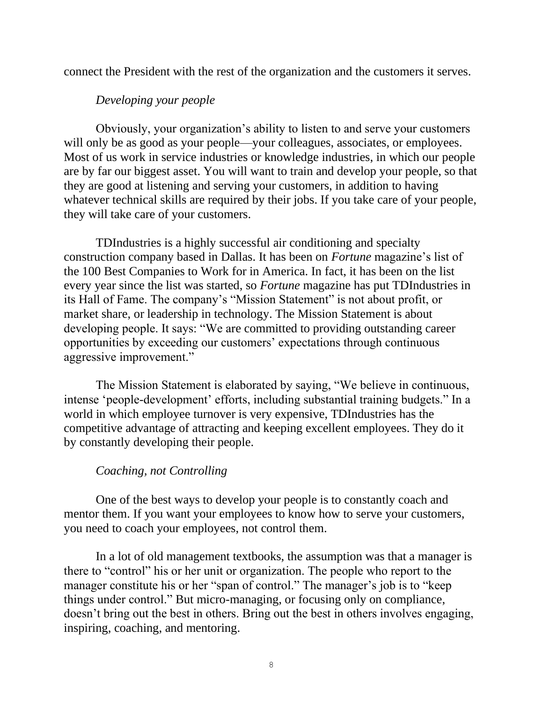connect the President with the rest of the organization and the customers it serves.

# *Developing your people*

Obviously, your organization's ability to listen to and serve your customers will only be as good as your people—your colleagues, associates, or employees. Most of us work in service industries or knowledge industries, in which our people are by far our biggest asset. You will want to train and develop your people, so that they are good at listening and serving your customers, in addition to having whatever technical skills are required by their jobs. If you take care of your people, they will take care of your customers.

TDIndustries is a highly successful air conditioning and specialty construction company based in Dallas. It has been on *Fortune* magazine's list of the 100 Best Companies to Work for in America. In fact, it has been on the list every year since the list was started, so *Fortune* magazine has put TDIndustries in its Hall of Fame. The company's "Mission Statement" is not about profit, or market share, or leadership in technology. The Mission Statement is about developing people. It says: "We are committed to providing outstanding career opportunities by exceeding our customers' expectations through continuous aggressive improvement."

The Mission Statement is elaborated by saying, "We believe in continuous, intense 'people-development' efforts, including substantial training budgets." In a world in which employee turnover is very expensive, TDIndustries has the competitive advantage of attracting and keeping excellent employees. They do it by constantly developing their people.

## *Coaching, not Controlling*

One of the best ways to develop your people is to constantly coach and mentor them. If you want your employees to know how to serve your customers, you need to coach your employees, not control them.

In a lot of old management textbooks, the assumption was that a manager is there to "control" his or her unit or organization. The people who report to the manager constitute his or her "span of control." The manager's job is to "keep things under control." But micro-managing, or focusing only on compliance, doesn't bring out the best in others. Bring out the best in others involves engaging, inspiring, coaching, and mentoring.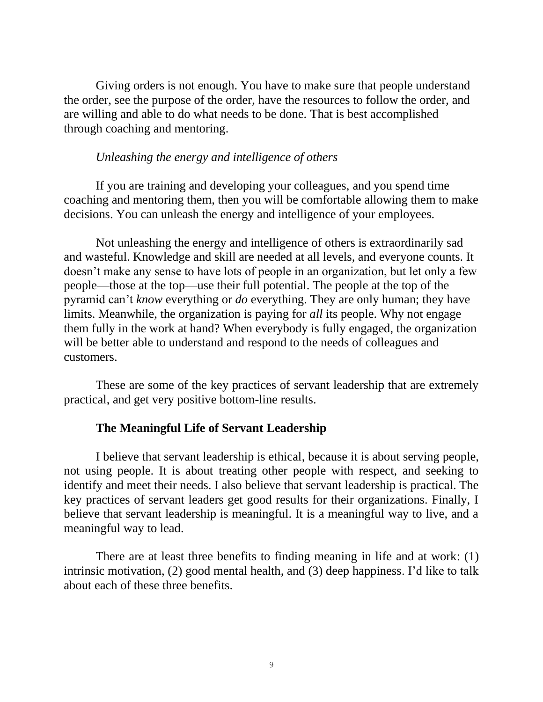Giving orders is not enough. You have to make sure that people understand the order, see the purpose of the order, have the resources to follow the order, and are willing and able to do what needs to be done. That is best accomplished through coaching and mentoring.

# *Unleashing the energy and intelligence of others*

If you are training and developing your colleagues, and you spend time coaching and mentoring them, then you will be comfortable allowing them to make decisions. You can unleash the energy and intelligence of your employees.

Not unleashing the energy and intelligence of others is extraordinarily sad and wasteful. Knowledge and skill are needed at all levels, and everyone counts. It doesn't make any sense to have lots of people in an organization, but let only a few people—those at the top—use their full potential. The people at the top of the pyramid can't *know* everything or *do* everything. They are only human; they have limits. Meanwhile, the organization is paying for *all* its people. Why not engage them fully in the work at hand? When everybody is fully engaged, the organization will be better able to understand and respond to the needs of colleagues and customers.

These are some of the key practices of servant leadership that are extremely practical, and get very positive bottom-line results.

# **The Meaningful Life of Servant Leadership**

I believe that servant leadership is ethical, because it is about serving people, not using people. It is about treating other people with respect, and seeking to identify and meet their needs. I also believe that servant leadership is practical. The key practices of servant leaders get good results for their organizations. Finally, I believe that servant leadership is meaningful. It is a meaningful way to live, and a meaningful way to lead.

There are at least three benefits to finding meaning in life and at work: (1) intrinsic motivation, (2) good mental health, and (3) deep happiness. I'd like to talk about each of these three benefits.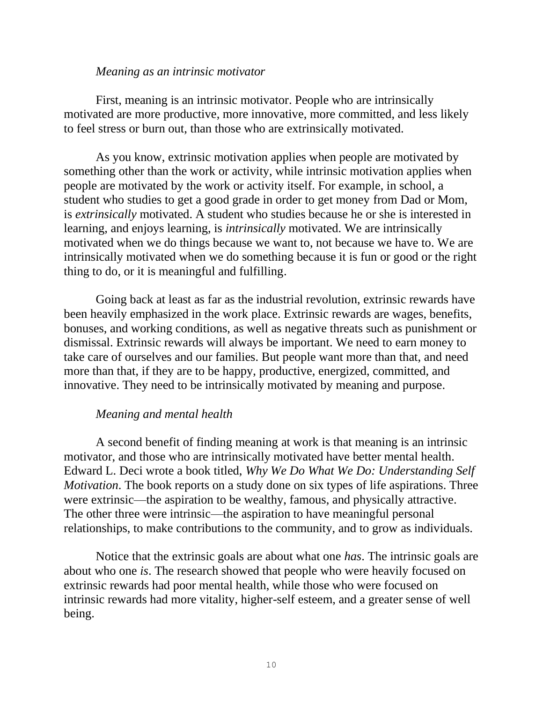#### *Meaning as an intrinsic motivator*

First, meaning is an intrinsic motivator. People who are intrinsically motivated are more productive, more innovative, more committed, and less likely to feel stress or burn out, than those who are extrinsically motivated.

As you know, extrinsic motivation applies when people are motivated by something other than the work or activity, while intrinsic motivation applies when people are motivated by the work or activity itself. For example, in school, a student who studies to get a good grade in order to get money from Dad or Mom, is *extrinsically* motivated. A student who studies because he or she is interested in learning, and enjoys learning, is *intrinsically* motivated. We are intrinsically motivated when we do things because we want to, not because we have to. We are intrinsically motivated when we do something because it is fun or good or the right thing to do, or it is meaningful and fulfilling.

Going back at least as far as the industrial revolution, extrinsic rewards have been heavily emphasized in the work place. Extrinsic rewards are wages, benefits, bonuses, and working conditions, as well as negative threats such as punishment or dismissal. Extrinsic rewards will always be important. We need to earn money to take care of ourselves and our families. But people want more than that, and need more than that, if they are to be happy, productive, energized, committed, and innovative. They need to be intrinsically motivated by meaning and purpose.

## *Meaning and mental health*

A second benefit of finding meaning at work is that meaning is an intrinsic motivator, and those who are intrinsically motivated have better mental health. Edward L. Deci wrote a book titled, *Why We Do What We Do: Understanding Self Motivation*. The book reports on a study done on six types of life aspirations. Three were extrinsic—the aspiration to be wealthy, famous, and physically attractive. The other three were intrinsic—the aspiration to have meaningful personal relationships, to make contributions to the community, and to grow as individuals.

Notice that the extrinsic goals are about what one *has*. The intrinsic goals are about who one *is*. The research showed that people who were heavily focused on extrinsic rewards had poor mental health, while those who were focused on intrinsic rewards had more vitality, higher-self esteem, and a greater sense of well being.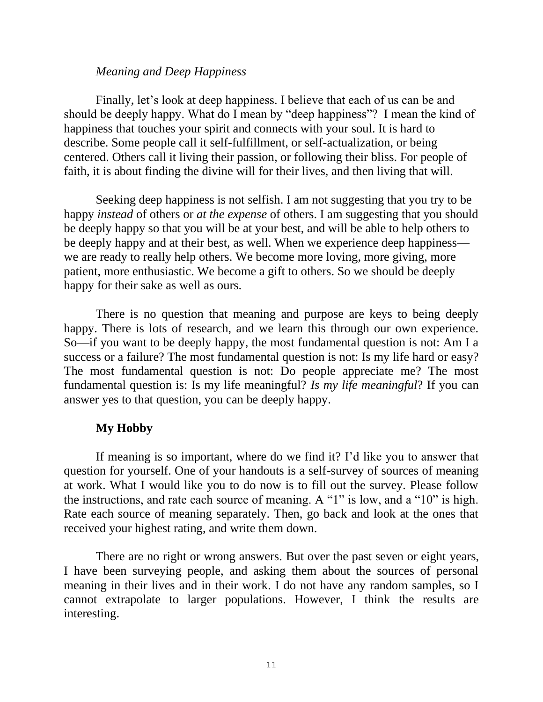### *Meaning and Deep Happiness*

Finally, let's look at deep happiness. I believe that each of us can be and should be deeply happy. What do I mean by "deep happiness"? I mean the kind of happiness that touches your spirit and connects with your soul. It is hard to describe. Some people call it self-fulfillment, or self-actualization, or being centered. Others call it living their passion, or following their bliss. For people of faith, it is about finding the divine will for their lives, and then living that will.

Seeking deep happiness is not selfish. I am not suggesting that you try to be happy *instead* of others or *at the expense* of others. I am suggesting that you should be deeply happy so that you will be at your best, and will be able to help others to be deeply happy and at their best, as well. When we experience deep happiness we are ready to really help others. We become more loving, more giving, more patient, more enthusiastic. We become a gift to others. So we should be deeply happy for their sake as well as ours.

There is no question that meaning and purpose are keys to being deeply happy. There is lots of research, and we learn this through our own experience. So—if you want to be deeply happy, the most fundamental question is not: Am I a success or a failure? The most fundamental question is not: Is my life hard or easy? The most fundamental question is not: Do people appreciate me? The most fundamental question is: Is my life meaningful? *Is my life meaningful*? If you can answer yes to that question, you can be deeply happy.

## **My Hobby**

If meaning is so important, where do we find it? I'd like you to answer that question for yourself. One of your handouts is a self-survey of sources of meaning at work. What I would like you to do now is to fill out the survey. Please follow the instructions, and rate each source of meaning. A "1" is low, and a "10" is high. Rate each source of meaning separately. Then, go back and look at the ones that received your highest rating, and write them down.

There are no right or wrong answers. But over the past seven or eight years, I have been surveying people, and asking them about the sources of personal meaning in their lives and in their work. I do not have any random samples, so I cannot extrapolate to larger populations. However, I think the results are interesting.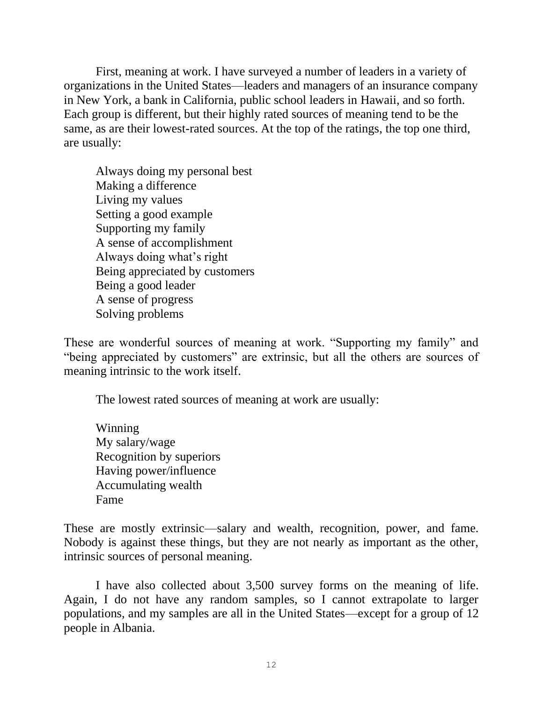First, meaning at work. I have surveyed a number of leaders in a variety of organizations in the United States—leaders and managers of an insurance company in New York, a bank in California, public school leaders in Hawaii, and so forth. Each group is different, but their highly rated sources of meaning tend to be the same, as are their lowest-rated sources. At the top of the ratings, the top one third, are usually:

Always doing my personal best Making a difference Living my values Setting a good example Supporting my family A sense of accomplishment Always doing what's right Being appreciated by customers Being a good leader A sense of progress Solving problems

These are wonderful sources of meaning at work. "Supporting my family" and "being appreciated by customers" are extrinsic, but all the others are sources of meaning intrinsic to the work itself.

The lowest rated sources of meaning at work are usually:

Winning My salary/wage Recognition by superiors Having power/influence Accumulating wealth Fame

These are mostly extrinsic—salary and wealth, recognition, power, and fame. Nobody is against these things, but they are not nearly as important as the other, intrinsic sources of personal meaning.

I have also collected about 3,500 survey forms on the meaning of life. Again, I do not have any random samples, so I cannot extrapolate to larger populations, and my samples are all in the United States—except for a group of 12 people in Albania.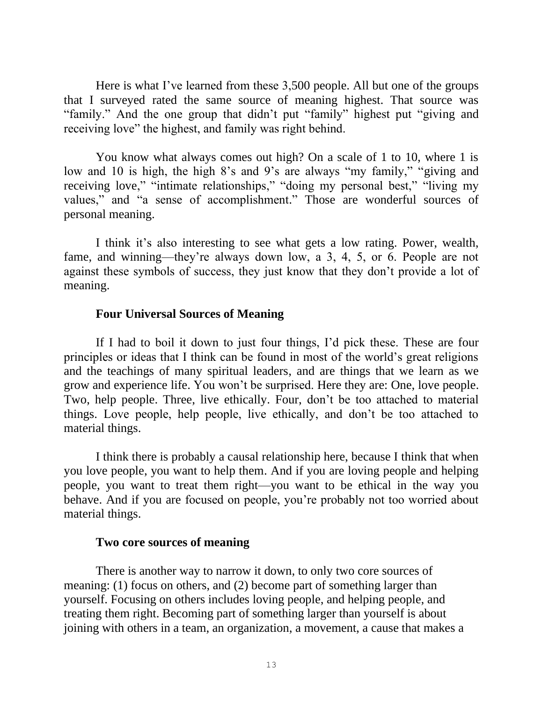Here is what I've learned from these 3,500 people. All but one of the groups that I surveyed rated the same source of meaning highest. That source was "family." And the one group that didn't put "family" highest put "giving and receiving love" the highest, and family was right behind.

You know what always comes out high? On a scale of 1 to 10, where 1 is low and 10 is high, the high 8's and 9's are always "my family," "giving and receiving love," "intimate relationships," "doing my personal best," "living my values," and "a sense of accomplishment." Those are wonderful sources of personal meaning.

I think it's also interesting to see what gets a low rating. Power, wealth, fame, and winning—they're always down low, a 3, 4, 5, or 6. People are not against these symbols of success, they just know that they don't provide a lot of meaning.

# **Four Universal Sources of Meaning**

If I had to boil it down to just four things, I'd pick these. These are four principles or ideas that I think can be found in most of the world's great religions and the teachings of many spiritual leaders, and are things that we learn as we grow and experience life. You won't be surprised. Here they are: One, love people. Two, help people. Three, live ethically. Four, don't be too attached to material things. Love people, help people, live ethically, and don't be too attached to material things.

I think there is probably a causal relationship here, because I think that when you love people, you want to help them. And if you are loving people and helping people, you want to treat them right—you want to be ethical in the way you behave. And if you are focused on people, you're probably not too worried about material things.

# **Two core sources of meaning**

There is another way to narrow it down, to only two core sources of meaning: (1) focus on others, and (2) become part of something larger than yourself. Focusing on others includes loving people, and helping people, and treating them right. Becoming part of something larger than yourself is about joining with others in a team, an organization, a movement, a cause that makes a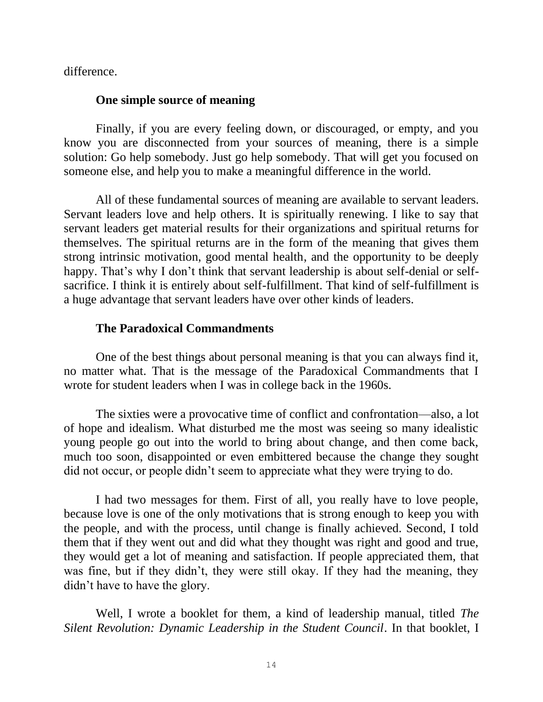difference.

### **One simple source of meaning**

Finally, if you are every feeling down, or discouraged, or empty, and you know you are disconnected from your sources of meaning, there is a simple solution: Go help somebody. Just go help somebody. That will get you focused on someone else, and help you to make a meaningful difference in the world.

All of these fundamental sources of meaning are available to servant leaders. Servant leaders love and help others. It is spiritually renewing. I like to say that servant leaders get material results for their organizations and spiritual returns for themselves. The spiritual returns are in the form of the meaning that gives them strong intrinsic motivation, good mental health, and the opportunity to be deeply happy. That's why I don't think that servant leadership is about self-denial or selfsacrifice. I think it is entirely about self-fulfillment. That kind of self-fulfillment is a huge advantage that servant leaders have over other kinds of leaders.

## **The Paradoxical Commandments**

One of the best things about personal meaning is that you can always find it, no matter what. That is the message of the Paradoxical Commandments that I wrote for student leaders when I was in college back in the 1960s.

The sixties were a provocative time of conflict and confrontation—also, a lot of hope and idealism. What disturbed me the most was seeing so many idealistic young people go out into the world to bring about change, and then come back, much too soon, disappointed or even embittered because the change they sought did not occur, or people didn't seem to appreciate what they were trying to do.

I had two messages for them. First of all, you really have to love people, because love is one of the only motivations that is strong enough to keep you with the people, and with the process, until change is finally achieved. Second, I told them that if they went out and did what they thought was right and good and true, they would get a lot of meaning and satisfaction. If people appreciated them, that was fine, but if they didn't, they were still okay. If they had the meaning, they didn't have to have the glory.

Well, I wrote a booklet for them, a kind of leadership manual, titled *The Silent Revolution: Dynamic Leadership in the Student Council*. In that booklet, I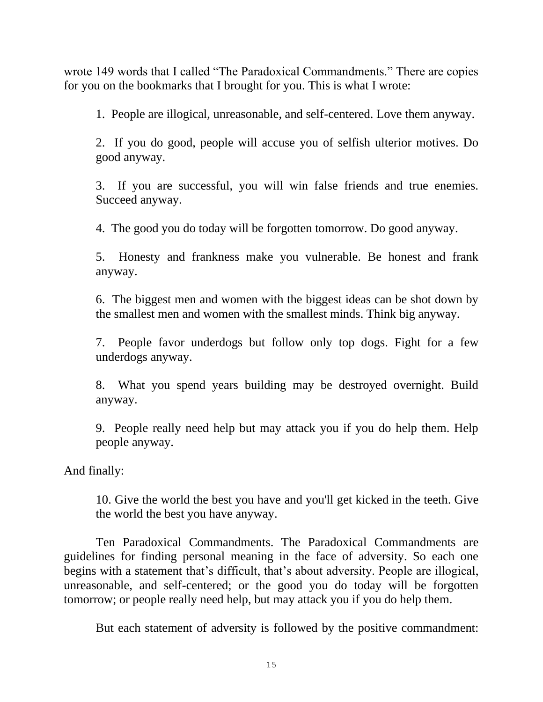wrote 149 words that I called "The Paradoxical Commandments." There are copies for you on the bookmarks that I brought for you. This is what I wrote:

1. People are illogical, unreasonable, and self-centered. Love them anyway.

2. If you do good, people will accuse you of selfish ulterior motives. Do good anyway.

3. If you are successful, you will win false friends and true enemies. Succeed anyway.

4. The good you do today will be forgotten tomorrow. Do good anyway.

5. Honesty and frankness make you vulnerable. Be honest and frank anyway.

6. The biggest men and women with the biggest ideas can be shot down by the smallest men and women with the smallest minds. Think big anyway.

7. People favor underdogs but follow only top dogs. Fight for a few underdogs anyway.

8. What you spend years building may be destroyed overnight. Build anyway.

9. People really need help but may attack you if you do help them. Help people anyway.

And finally:

10. Give the world the best you have and you'll get kicked in the teeth. Give the world the best you have anyway.

Ten Paradoxical Commandments. The Paradoxical Commandments are guidelines for finding personal meaning in the face of adversity. So each one begins with a statement that's difficult, that's about adversity. People are illogical, unreasonable, and self-centered; or the good you do today will be forgotten tomorrow; or people really need help, but may attack you if you do help them.

But each statement of adversity is followed by the positive commandment: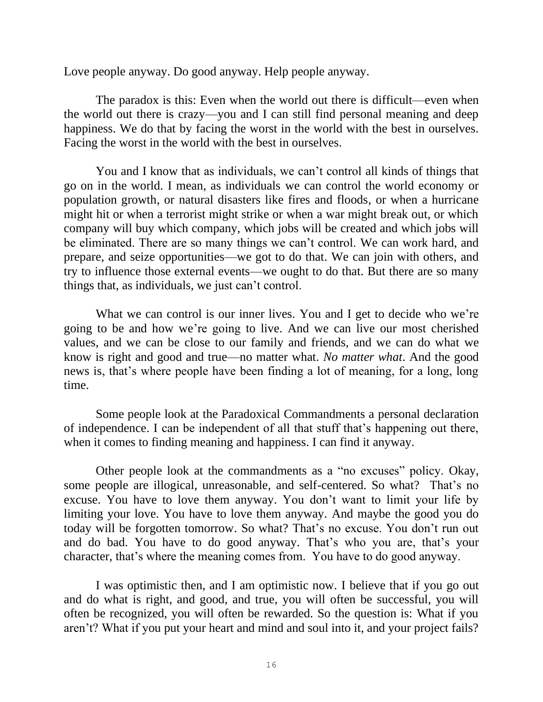Love people anyway. Do good anyway. Help people anyway.

The paradox is this: Even when the world out there is difficult—even when the world out there is crazy—you and I can still find personal meaning and deep happiness. We do that by facing the worst in the world with the best in ourselves. Facing the worst in the world with the best in ourselves.

You and I know that as individuals, we can't control all kinds of things that go on in the world. I mean, as individuals we can control the world economy or population growth, or natural disasters like fires and floods, or when a hurricane might hit or when a terrorist might strike or when a war might break out, or which company will buy which company, which jobs will be created and which jobs will be eliminated. There are so many things we can't control. We can work hard, and prepare, and seize opportunities—we got to do that. We can join with others, and try to influence those external events—we ought to do that. But there are so many things that, as individuals, we just can't control.

What we can control is our inner lives. You and I get to decide who we're going to be and how we're going to live. And we can live our most cherished values, and we can be close to our family and friends, and we can do what we know is right and good and true—no matter what. *No matter what*. And the good news is, that's where people have been finding a lot of meaning, for a long, long time.

Some people look at the Paradoxical Commandments a personal declaration of independence. I can be independent of all that stuff that's happening out there, when it comes to finding meaning and happiness. I can find it anyway.

Other people look at the commandments as a "no excuses" policy. Okay, some people are illogical, unreasonable, and self-centered. So what? That's no excuse. You have to love them anyway. You don't want to limit your life by limiting your love. You have to love them anyway. And maybe the good you do today will be forgotten tomorrow. So what? That's no excuse. You don't run out and do bad. You have to do good anyway. That's who you are, that's your character, that's where the meaning comes from. You have to do good anyway.

I was optimistic then, and I am optimistic now. I believe that if you go out and do what is right, and good, and true, you will often be successful, you will often be recognized, you will often be rewarded. So the question is: What if you aren't? What if you put your heart and mind and soul into it, and your project fails?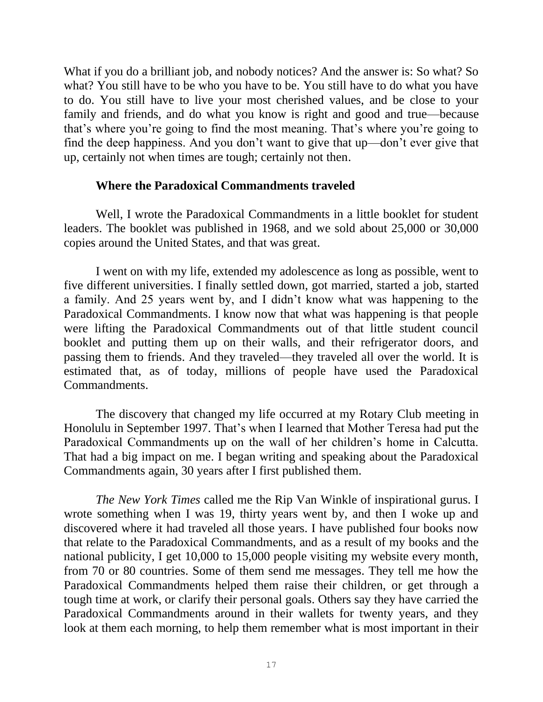What if you do a brilliant job, and nobody notices? And the answer is: So what? So what? You still have to be who you have to be. You still have to do what you have to do. You still have to live your most cherished values, and be close to your family and friends, and do what you know is right and good and true—because that's where you're going to find the most meaning. That's where you're going to find the deep happiness. And you don't want to give that up—don't ever give that up, certainly not when times are tough; certainly not then.

### **Where the Paradoxical Commandments traveled**

Well, I wrote the Paradoxical Commandments in a little booklet for student leaders. The booklet was published in 1968, and we sold about 25,000 or 30,000 copies around the United States, and that was great.

I went on with my life, extended my adolescence as long as possible, went to five different universities. I finally settled down, got married, started a job, started a family. And 25 years went by, and I didn't know what was happening to the Paradoxical Commandments. I know now that what was happening is that people were lifting the Paradoxical Commandments out of that little student council booklet and putting them up on their walls, and their refrigerator doors, and passing them to friends. And they traveled—they traveled all over the world. It is estimated that, as of today, millions of people have used the Paradoxical Commandments.

The discovery that changed my life occurred at my Rotary Club meeting in Honolulu in September 1997. That's when I learned that Mother Teresa had put the Paradoxical Commandments up on the wall of her children's home in Calcutta. That had a big impact on me. I began writing and speaking about the Paradoxical Commandments again, 30 years after I first published them.

*The New York Times* called me the Rip Van Winkle of inspirational gurus. I wrote something when I was 19, thirty years went by, and then I woke up and discovered where it had traveled all those years. I have published four books now that relate to the Paradoxical Commandments, and as a result of my books and the national publicity, I get 10,000 to 15,000 people visiting my website every month, from 70 or 80 countries. Some of them send me messages. They tell me how the Paradoxical Commandments helped them raise their children, or get through a tough time at work, or clarify their personal goals. Others say they have carried the Paradoxical Commandments around in their wallets for twenty years, and they look at them each morning, to help them remember what is most important in their